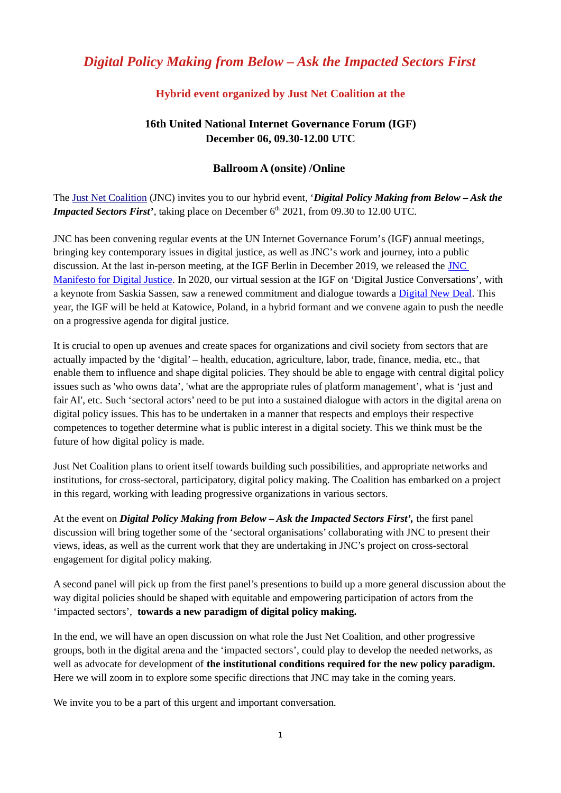# *Digital Policy Making from Below – Ask the Impacted Sectors First*

## **Hybrid event organized by Just Net Coalition at the**

## **16th United National Internet Governance Forum (IGF) December 06, 09.30-12.00 UTC**

#### **Ballroom A (onsite) /Online**

The [Just Net Coalition](https://www.google.com/url?sa=t&rct=j&q=&esrc=s&source=web&cd=&cad=rja&uact=8&ved=2ahUKEwj-tpTnuMX0AhXOQTABHY9sA10QFnoECAsQAQ&url=https%3A%2F%2Fjustnetcoalition.org%2F&usg=AOvVaw3GQ88UYHKCtGWXIFVUd0Mk) (JNC) invites you to our hybrid event, '*Digital Policy Making from Below – Ask the Impacted Sectors First'*, taking place on December 6<sup>th</sup> 2021, from 09.30 to 12.00 UTC.

JNC has been convening regular events at the UN Internet Governance Forum's (IGF) annual meetings, bringing key contemporary issues in digital justice, as well as JNC's work and journey, into a public discussion. At the last in-person meeting, at the IGF Berlin in December 2019, we released the [JNC](https://justnetcoalition.org/digital-justice-manifesto)  [Manifesto for Digital Justice](https://justnetcoalition.org/digital-justice-manifesto). In 2020, our virtual session at the IGF on 'Digital Justice Conversations', with a keynote from Saskia Sassen, saw a renewed commitment and dialogue towards a [Digital New Deal](https://itforchange.net/digital-new-deal/). This year, the IGF will be held at Katowice, Poland, in a hybrid formant and we convene again to push the needle on a progressive agenda for digital justice.

It is crucial to open up avenues and create spaces for organizations and civil society from sectors that are actually impacted by the 'digital' – health, education, agriculture, labor, trade, finance, media, etc., that enable them to influence and shape digital policies. They should be able to engage with central digital policy issues such as 'who owns data', 'what are the appropriate rules of platform management', what is 'just and fair AI', etc. Such 'sectoral actors' need to be put into a sustained dialogue with actors in the digital arena on digital policy issues. This has to be undertaken in a manner that respects and employs their respective competences to together determine what is public interest in a digital society. This we think must be the future of how digital policy is made.

Just Net Coalition plans to orient itself towards building such possibilities, and appropriate networks and institutions, for cross-sectoral, participatory, digital policy making. The Coalition has embarked on a project in this regard, working with leading progressive organizations in various sectors.

At the event on *Digital Policy Making from Below – Ask the Impacted Sectors First',* the first panel discussion will bring together some of the 'sectoral organisations' collaborating with JNC to present their views, ideas, as well as the current work that they are undertaking in JNC's project on cross-sectoral engagement for digital policy making.

A second panel will pick up from the first panel's presentions to build up a more general discussion about the way digital policies should be shaped with equitable and empowering participation of actors from the 'impacted sectors', **towards a new paradigm of digital policy making.** 

In the end, we will have an open discussion on what role the Just Net Coalition, and other progressive groups, both in the digital arena and the 'impacted sectors', could play to develop the needed networks, as well as advocate for development of **the institutional conditions required for the new policy paradigm.** Here we will zoom in to explore some specific directions that JNC may take in the coming years.

We invite you to be a part of this urgent and important conversation.